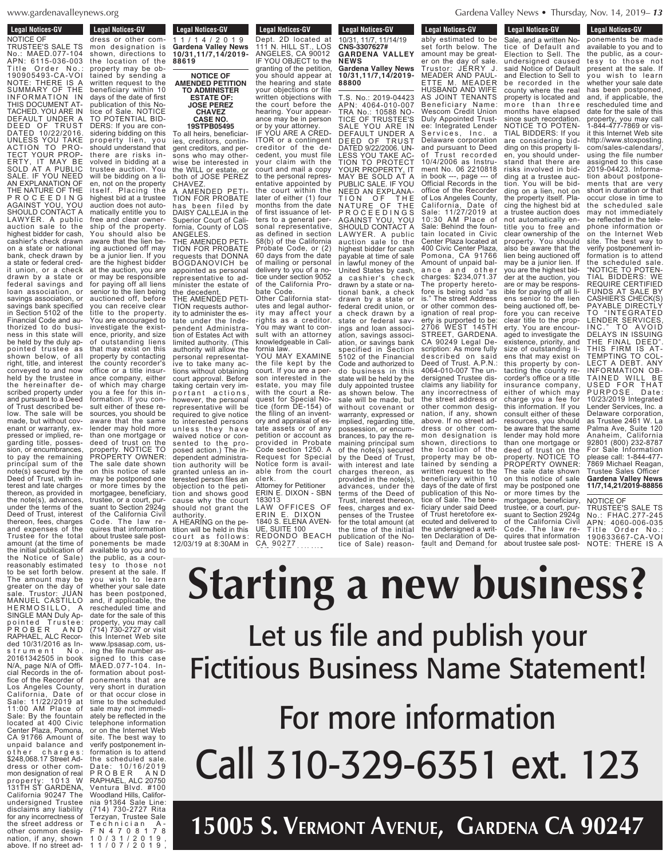$PWS. OY^{\alpha}$ 

**Legal Notices-GV**

NOTICE OF TRUSTEE'S SALE TS No.: MAED.077-104 APN: 6115-036-003 Title Order No.: 190905493-CA-VOI NOTE: THERE IS A SUMMARY OF THE INFORMATION IN THIS DOCUMENT AT-TACHED. YOU ARE IN DEFAULT UNDER A DEED OF TRUST DATED 10/22/2016. UNLESS YOU TAKE ACTION TO PRO-TECT YOUR PROP-ERTY, IT MAY BE SOLD AT A PUBLIC SALE. IF YOU NEED AN EXPLANATION OF THE NATURE OF THE P R O C E E D I N G AGAINST YOU, YOU SHOULD CONTACT A LAWYER. A public auction sale to the highest bidder for cash, cashier's check drawn on a state or national bank, check drawn by a state or federal credit union, or a check drawn by a state or federal savings and loan association, or savings association, or savings bank specified in Section 5102 of the Financial Code and authorized to do business in this state will be held by the duly appointed trustee as shown below, of all right, title, and interest conveyed to and now held by the trustee in the hereinafter described property under and pursuant to a Deed of Trust described below. The sale will be made, but without covenant or warranty, expressed or implied, regarding title, possession, or encumbrances, to pay the remaining principal sum of the note(s) secured by the Deed of Trust, with interest and late charges thereon, as provided in the note(s), advances, under the terms of the Deed of Trust, interest thereon, fees, charges and expenses of the Trustee for the total amount (at the time of the initial publication of the Notice of Sale) reasonably estimated to be set forth below. The amount may be greater on the day of sale. Trustor: JUAN MANUEL CASTILLO HERMOSILLO, A SINGLE MAN Duly App o in te d Trustee:<br>P R O B E R A N D<br>RAPHAEL, ALC Recorded 10/31/2016 as Instrument No. asa 1999.<br>
20161342505 in book<br>
20161342505 in book N/A, page N/A of Official Records in the office of the Recorder of Los Angeles County, California, Date of Sale: 11/22/2019 at 11:00 AM Place of Sale: By the fountain located at 400 Civic Center Plaza, Pomona, CA 91766 Amount of unpaid balance and o t h e r c h a r g e s : \$248,068.17 Street Address or other common designation of real property: 1013 W 131TH ST GARDENA, California 90247 The undersigned Trustee disclaims any liability for any incorrectness of the street address or other common desig-<br>nation, if any, shown<br>above. If no street ad-<br>

dress or other common designation is shown, directions to the location of the property may be obtained by sending a written request to the beneficiary within 10 days of the date of first publication of this Notice of Sale. NOTICE TO POTENTIAL BID-DERS: If you are considering bidding on this property lien, you should understand that there are risks involved in bidding at a trustee auction. You will be bidding on a lien, not on the property itself. Placing the highest bid at a trustee auction does not automatically entitle you to free and clear ownership of the property. You should also be aware that the lien being auctioned off may be a junior lien. If you are the highest bidder at the auction, you are or may be responsible for paying off all liens senior to the lien being auctioned off, before you can receive clear title to the property. You are encouraged to investigate the existence, priority, and size of outstanding liens that may exist on this property by contacting the county recorder's office or a title insurance company, either of which may charge you a fee for this in-<br>formation. If you consult either of these resources, you should be aware that the same lender may hold more than one mortgage or deed of trust on the property. NOTICE TO PROPERTY OWNER: The sale date shown on this notice of sale may be postponed one or more times by the mortgagee, beneficiary, trustee, or a court, pursuant to Section 2924g of the California Civil Code. The law requires that information about trustee sale postponements be made available to you and to the public, as a courtesy to those not present at the sale. If you wish to learn whether your sale date has been postponed, and, if applicable, the rescheduled time and date for the sale of this property, you may call (714) 730-2727 or visit this Internet Web site www.lpsasap.com, using the file number assigned to this case MAED.077-104. Information about postponements that are very short in duration or that occur close in time to the scheduled sale may not immediately be reflected in the telephone information or on the Internet Web site. The best way to verify postponement information is to attend the scheduled sale.<br>Date: 10/16/2019 P R O B E R A N D RAPHAEL, ALC 20750 Ventura Blvd. #100 Woodland Hills, California 91364 Sale Line: (714) 730-2727 Rita bate Code.

Terzyan, Trustee Sale Technician A-

F N 4 7 0 8 1 7 8 1 0 / 3 1 / 2 0 1 9 , 1 1 / 0 7 / 2 0 1 9 , 1 1 / 1 4 / 2 0 1 9

**Legal Notices-GV**  $\sum_{i=1}^{n}$ Legal Nutres-GV **88619** CHAVEZ. ANGELES. the decedent. authority.

**Legal Notices-GV Legal Nutices-GV** 1 1 / 1 4 / 2 0 1 9 **Gardena Valley News 10/31,11/7,14/2019- NOTICE OF AMENDED PETITION TO ADMINISTER ESTATE OF: JOSE PEREZ CHAVEZ CASE NO. 19STPB05495** To all heirs, beneficiaries, creditors, contingent creditors, and persons who may otherwise be interested in the WILL or estate, or both of JOSE PEREZ A AMENDED PETI-TION FOR PROBATE has been filed by DAISY CALLEJA in the Superior Court of California, County of LOS THE AMENDED PETI-TION FOR PROBATE requests that DONNA BOGDANOVICH be appointed as personal representative to administer the estate of THE AMENDED PETI-TION requests authority to administer the estate under the Independent Administration of Estates Act with **Legal Notices-GV Legal Nutices-GV** Dept. 2D located at 111 N. HILL ST., LOS bate Code.

limited authority. (This authority will allow the personal representative to take many actions without obtaining court approval. Before taking certain very important actions. however, the personal representative will be required to give notice to interested persons<br>unless they have<br>waived notice or consented to the proposed action.) The independent administration authority will be granted unless an interested person files an objection to the petition and shows good cause why the court should not grant the

A HEARING on the petition will be held in this court as follows: 12/03/19 at 8:30AM in

sult with an attorney

ANGELES, CA 90012 IF YOU OBJECT to the granting of the petition, you should appear at the hearing and state your objections or file written objections with the court before the hearing. Your appearance may be in person or by your attorney. IF YOU ARE A CRED-ITOR or a contingent creditor of the decedent, you must file your claim with the court and mail a copy to the personal representative appointed by the court within the later of either (1) four months from the date of first issuance of letters to a general personal representative, as defined in section 58(b) of the California Probate Code, or (2) 60 days from the date of mailing or personal delivery to you of a notice under section 9052 of the California Pro-

Other California statutes and legal authority may affect your rights as a creditor. You may want to consult with an attorney knowledgeable in California law.

YOU MAY EXAMINE the file kept by the court. If you are a person interested in the estate, you may file with the court a Request for Special Notice (form DE-154) of the filing of an inventory and appraisal of estate assets or of any petition or account as provided in Probate Code section 1250. A Request for Special Notice form is available from the court clerk.

Attorney for Petitioner ERIN E. DIXON - SBN 183013

LAW OFFICES OF ERIN E. DIXON 1840 S. ELENA AVEN-UE, SUITE 100 REDONDO BEACH

CA 90277

**Legal Notices-GV Legal Nutlee** 10/31, 11/7, 11/14/19 **CNS-3307627# GARDENA VALLEY NEWS Gardena Valley News 10/31,11/7,14/2019- 88800**

T.S. No.: 2019-04423 APN: 4064-010-007 TRA No.: 10588 NO-TICE OF TRUSTEE'S SALE YOU ARE IN DEFAULT UNDER A DEED OF TRUST DATED 9/22/2006. UN-LESS YOU TAKE AC-TION TO PROTECT YOUR PROPERTY, IT MAY BE SOLD AT A PUBLIC SALE. IF YOU NEED AN EXPLANA-TION OF THE NATURE OF THE P R O C E E D I N G S AGAINST YOU, YOU SHOULD CONTACT A LAWYER. A public auction sale to the highest bidder for cash payable at time of sale in ayable at time of sale<br>in lawful money of the United States by cash, a cashier's check drawn by a state or national bank, a check drawn by a state or federal credit union, or a check drawn by a state or federal savings and loan association, savings association, or savings bank specified in Section 5102 of the Financial Code and authorized to do business in this state will be held by the duly appointed trustee as shown below. The sale will be made, but without covenant or warranty, expressed or implied, regarding title, possession, or encumbrances, to pay the remaining principal sum of the note(s) secured by the Deed of Trust, with interest and late charges thereon, as provided in the note(s), advances, under the terms of the Deed of Trust, interest thereon, fees, charges and expenses of the Trustee for the total amount (at the time of the initial publication of the Notice of Sale) reason-

er on the day of sale. Trustor: JERRY J. MEADER AND PAUL-ETTE M. MEADER HUSBAND AND WIFE AS JOINT TENANTS Beneficiary Name: Wescom Credit Union Duly Appointed Trustee: Integrated Lender Services, Inc. a Delaware corporation and pursuant to Deed of Trust recorded 10/4/2006 as Instrument No. 06 2210818 in book ---, page --- of Official Records in the office of the Recorder of Los Angeles County, California, Date of Sale: 11/27/2019 at 10:30 AM Place of Sale: Behind the fountain located in Civic Center Plaza located at 400 Civic Center Plaza, Pomona, CA 91766 Amount of unpaid balance and other charges: \$234,071.37 The property heretofore is being sold "as is." The street Address or other common designation of real property is purported to be: 2706 WEST 145TH STREET, GARDENA. CA 90249 Legal Description: As more fully des c ribed on said Deed of Trust. A.P.N.: 4064-010-007 The undersigned Trustee disclaims any liability for any incorrectness of the street address or other common designation, if any, shown above. If no street address or other common designation is shown, directions to the location of the property may be obtained by sending a written request to the beneficiary within 10 days of the date of first publication of this Notice of Sale. The beneficiary under said Deed of Trust heretofore executed and delivered to the undersigned a written Declaration of Default and Demand for Election to Sell. The undersigned caused said Notice of Default and Election to Sell to be recorded in the county where the real property is located and more than three months have elapsed since such recordation. NOTICE TO POTEN-TIAL BIDDERS: If you are considering bidding on this property lien, you should understand that there are risks involved in bidding at a trustee auction. You will be bidding on a lien, not on the property itself. Placing the highest bid at a trustee auction does not automatically entitle you to free and clear ownership of the property. You should also be aware that the lien being auctioned off may be a junior lien. If you are the highest bidder at the auction, you are or may be responsible for paying off all liens senior to the lien being auctioned off, before you can receive clear title to the property. You are encouraged to investigate the existence, priority, and size of outstanding liens that may exist on this property by contacting the county recorder's office or a title insurance company, either of which may charge you a fee for this information. If you consult either of these resources, you should be aware that the same lender may hold more than one mortgage or deed of trust on the property. NOTICE TO PROPERTY OWNER: The sale date shown on this notice of sale may be postponed one or more times by the mortgagee, beneficiary, trustee, or a court, pursuant to Section 2924g of the California Civil Code. The law requires that information about trustee sale post-

ponements be made

Legal Nutres-GV ponements be made available to you and to the public, as a courtesy to those not present at the sale. If you wish to learn whether your sale date has been postponed, and, if applicable, the rescheduled time and date for the sale of this property, you may call 1-844-477-7869 or visit this Internet Web site http://www.stoxposting. com/sales-calendars/, using the file number assigned to this case 2019-04423. Information about postponements that are very short in duration or that occur close in time to the scheduled sale may not immediately be reflected in the telephone information or on the Internet Web site. The best way to verify postponement information is to attend scheduled "NOTICE TO POTEN-TIAL BIDDERS: WE REQUIRE CERTIFIED FUNDS AT SALE BY CASHIER'S CHECK(S) PAYABLE DIRECTLY TO "INTEGRATED LENDER SERVICES, INC." TO AVOID DELAYS IN ISSUING THE FINAL DEED". THIS FIRM IS AT-TEMPTING TO COL-LECT A DEBT. ANY INFORMATION OB-TAINED WILL BE USED FOR THAT <sup>P</sup> <sup>U</sup> <sup>R</sup> <sup>P</sup> <sup>O</sup> <sup>S</sup> <sup>E</sup> . <sup>D</sup> <sup>a</sup> <sup>t</sup> <sup>e</sup> : 10/23/2019 Integrated 10/23/2019 Integrated<br>Lender Services, Inc. a Delaware corporation, as Trustee 2461 W. La Palma Ave, Suite 120 Anaheim, California 92801 (800) 232-8787 For Sale Information please call: 1-844-477- 7869 Michael Reagan, Trustee Sales Officer **Gardena Valley News 11/7,14,21/2019-88856**

NOTICE OF TRUSTEE'S SALE TS No.: FHAC.277-245 APN: 4060-006-035 Title Order No.: 190633667-CA-VOI NOTE: THERE IS A

the hereinafter de-

**Starting a new business?** Let us file and publish your Fictitious Business Name Statement! For more information Call 310-329-6351 ext. 123  $\blacksquare$  $\blacksquare$  $\blacksquare$ the hearing and state the hearing and state the state of the state in the state in the state in the state in the state in the state in the state in the state in the state in the state in the state in the state in the state  $\sim$   $\sim$   $\sim$   $\sim$   $\sim$ ITOR or a contingent creditor of the de- $L1$ ctit your claim with the court and mail and mail a copy of the copy of the copy of the copy of the copy of the copy of the copy of the copy of the copy of the copy of the copy of the copy of the copy of the copy of the copy of the copy of the copy as defined in section  $\sim$  1 Probate Code, or (2)  $\blacksquare$ of mailing or personal and all all entries are the set of the set of the set of the set of the set of the set o delivery to you of a no-**GARDENA VALLEY NEWS Gardena Valley News 10/31,11/7,14/2019- 88800** Trustor: Jerry J. MEADER AND PAUL-EUR ALLEY  $\bullet$   $\bullet$   $\bullet$   $\bullet$   $\bullet$   $\bullet$  $\bf u \bf v$  and Delaware corporation and pursuant to Deed ICINACC 1511 I L<del>e</del>bb . <del>.</del> . . . <del>. . .</del> of Los Angeles County, nara i  $\blacksquare$ 10:30 AM Place of the set of the set of the set of the set of the set of the set of the set of the set of the <br>The set of the set of the set of the set of the set of the set of the set of the set of the set of the set of  $T\cap\bigcap$  $\mathcal{L}$  die op Civic Center Plaza,  $\mathcal{L}$  $\blacksquare$  $\overline{\mathcal{L}}$  $\sim$   $\sim$   $\sim$ fore is being sold "as Election to Sell. The undersigned caused said Notice of Default and Election be recorded in the  $\epsilon$  where  $\epsilon$ nubli<sup>o</sup> TPUDII. are considering bidding on this property li- $N$ smo stand that there are risks involved in bidding on a lien, not on  $t_{\rm{max}}$ rcorne a truste not automatically en- $\rho = \mathbf{r} - \mathbf{r}$  $\blacksquare$ nn nn I u junio  $\sim$   $\sim$   $\sim$ ible for paying off all lithe public, as a courtes y to those not  $\blacksquare$ present at the sale. If  $\blacksquare$ you wi sh to learn wourd  $\mathbf{p} = \mathbf{p} = \mathbf{p}$  $\Delta$ it this Internet Web site http://www.stoxposting.  $\sim$ s $\sim$ using the file number **Didici**  $20.3$ short in duration or that  $\mathbf{L}$  is the time to the time to the time to the time to the time to the time to the time to the time to the time to the time to the time to the time to the time to the time to the time to the time to the time to the t  $r$ ion $r$  $\mathbf{u}$  $\bullet$  .  $\bullet$  .  $\bullet$ site. The best way to  $\bigcap V^+$ formation is to attend the schedule  $\sim$   $\sim$   $\sim$   $\sim$   $\sim$ FUNDS AT SALE BY THIS DOCUMENT AT-TACHED. YOU NOOL A DEED OF TRUST DATED 12/22/2008. UNLESS YOU TAKE SOLD AT A PUBLIC P R O C E E D I N G AANTI TCH IL:  $\sim$   $\sim$   $\sim$   $\sim$   $\sim$  $\blacksquare$ savings association, or savings bank specified in *Sec*tion 5102 of the sec Financial Code and aube held by the duly ap-

15005 S. VERMONT AVENUE, GARDENA CA 90247 ity may affect your rights as a creditor. or other common des-INIT AVEN erty is purported to be:  $\mathbf{b}$  $\blacksquare$ ie  $\blacksquare$ JE, JAN erty. You are encour-PAYABLE DIRECTLY LAI A LIYA **U**n  $\mathbf{A} \mathbf{A}$ right, title, and interest conveyed to and now

STREET, GARDENA.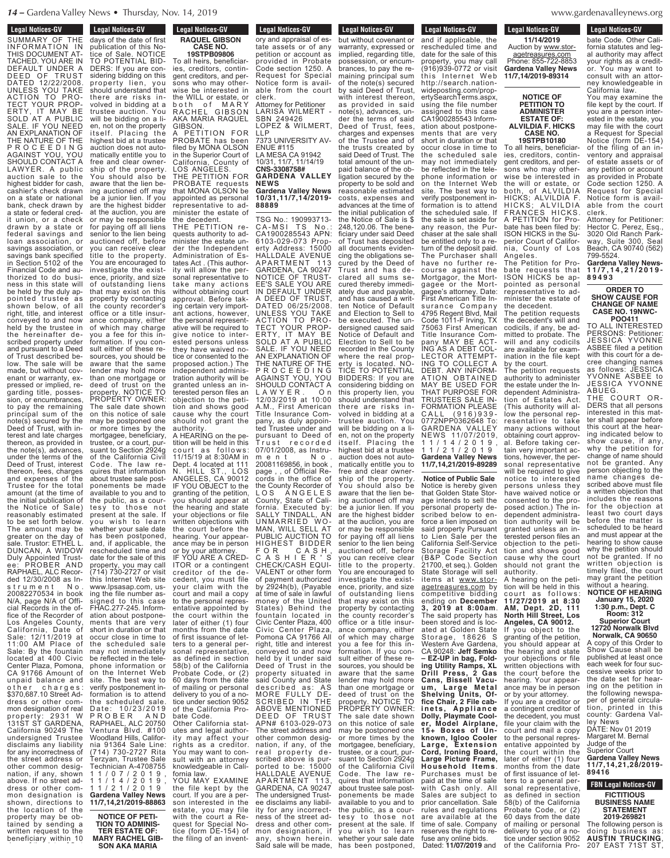**Legal Notices-GV** began Nutrices-GV **1906** Legal Notices-GV Legal Nutles-GV SUMMARY OF THE<br>INFORMATION IN INFORMATION THIS DOCUMENT AT-TACHED. YOU ARE IN DEFAULT UNDER<br>DEFAULT UNDER<br>DEED OF TRUS DEED OF TRUST DATED 12/22/2008. UNLESS YOU TAKE ACTION TO PRO-TECT YOUR PROP-ERTY, IT MAY BE SOLD AT A PUBLIC SALE. IF YOU NEED AN EXPLANATION OF THE NATURE OF THE P R O C E E D I N G AGAINST YOU, YOU SHOULD CONTACT A LAWYER. A public auction sale to the highest bidder for cash, cashier's check drawn on a state or national check drawn by a state or federal credit union, or a check drawn by a state or federal savings and loan association, or savings association, or savings bank specified in Section 5102 of the Financial Code and authorized to do business in this state will be held by the duly appointed trustee as shown below, of all right, title, and interest conveyed to and now held by the trustee in the hereinafter described property under and pursuant to a Deed of Trust described below. The sale will be made, but without covenant or warranty, expressed or implied, regarding title, possession, or encumbrances, to pay the remaining principal sum of the note(s) secured by the Deed of Trust, with interest and late charges thereon, as provided in the note(s), advances, under the terms of the Deed of Trust, interest thereon, fees, charges and expenses of the Trustee for the total amount (at the time of the initial publication of the Notice of Sale) reasonably estimated to be set forth below. The amount may be greater on the day of sale. Trustor: ETHEL L. DUNCAN, A WIDOW Duly Appointed Trustee: PROBER AND RAPHAEL, ALC Recorded 12/30/2008 as Instrument No. 20082270534 in book N/A, page N/A of Official Records in the office of the Recorder of Los Angeles County,<br>California, Date of Sale: 12/11/2019 at 11:00 AM Place of Sale: By the fountain located at 400 Civic Center Plaza, Pomona, CA 91766 Amount of unpaid balance and<br>other charges o ther charges: \$370,687.10 Street Address or other common designation of real property: 2931 W 131ST ST GARDENA, California 90249 The undersigned Trustee disclaims any liability for any incorrectness of the street address or other common designation, if any, shown above. If no street address or other com-<br>mon designation is mon designation is<br>shown, directions to the location of the property may be obtained by sending a written request to the

days of the date of first publication of this Notice of Sale. NOTICE TO POTENTIAL BID-DERS: If you are considering bidding on this property lien, you should understand that there are risks involved in bidding at a trustee auction. You will be bidding on a lien, not on the property itself. Placing the highest bid at a trustee auction does not automatically entitle you to free and clear ownership of the property. You should also be aware that the lien being auctioned off may be a junior lien. If you are the highest bidder at the auction, you are or may be responsible for paying off all liens senior to the lien being auctioned off, before you can receive clear title to the property. You are encouraged to investigate the existence, priority, and size of outstanding liens that may exist on this property by contacting the county recorder's office or a title insurance company, either of which may charge you a fee for this information. If you consult either of these resources, you should be aware that the same lender may hold more than one mortgage or deed of trust on the property. NOTICE TO PROPERTY OWNER: The sale date shown on this notice of sale may be postponed one or more times by the mortgagee, beneficiary, trustee, or a court, pursuant to Section 2924g of the California Civil Code. The law requires that information about trustee sale postponements be made available to you and to the public, as a courtesy to those not present at the sale. If .<br>you wish to learn whether your sale date has been postponed, and, if applicable, the rescheduled time and date for the sale of this property, you may call (714) 730-2727 or visit this Internet Web site www.lpsasap.com, using the file number assigned to this case FHAC.277-245. Information about postponements that are very short in duration or that occur close in time to the scheduled sale may not immediately be reflected in the telephone information or on the Internet Web site. The best way to verify postponement information is to attend the scheduled sale. Date: 10/23/2019 P R O B E R A N D RAPHAEL, ALC 20750 Ventura Blvd. #100 Woodland Hills, California 91364 Sale Line: (714) 730-2727 Rita Terzyan, Trustee Sale Technician A-4708755 1 1 / 0 7 / 2 0 1 9 , 1 1 / 1 4 / 2 0 1 9 , 1 1 / 2 1 / 2 0 1 9 **Gardena Valley News 11/7,14,21/2019-88863**

**NOTICE OF PETI-TION TO ADMINIS-TER ESTATE OF: MARY RACHEL GIB-SON AKA MARIA**

beneficiary within 10 days of the date of first

 $\frac{1}{2}$  **Legal Notices-GV EYAI NULICES-CIV RAQUEL GIBSON CASE NO.**

clerk. LLP ENUE #115 **NEWS 88889 19STPB09806** To all heirs, beneficiaries, creditors, contingent creditors, and persons who may otherwise be interested in the WILL or estate, or both of MARY RACHEL GIBSON AKA MARIA RAQUEL GIBSON. A PETITION FOR PROBATE has been filed by MONA OLSON in the Superior Court of California, County of LOS ANGELES. THE PETITION FOR PROBATE requests that MONA OLSON be appointed as personal representative to administer the estate of the decedent. THE PETITION requests authority to administer the estate under the Independent Administration of Estates Act . (This authority will allow the personal representative to take many actions without obtaining court approval. Before taking certain very important actions, however the personal representative will be required to give notice to interested persons unless they have waived notice or consented to the proposed action.) The independent administration authority will be granted unless an interested person files an objection to the petition and shows good

cause why the court should not grant the authority. A HEARING on the petition will be held in this court as follows: 11/15/19 at 8:30AM in Dept. 4 located at 111 N. HILL ST., LOS ANGELES, CA 90012 IF YOU OBJECT to the granting of the petition, you should appear at the hearing and state your objections or file written objections with the court before the hearing. Your appearance may be in person or by your attorney. IF YOU ARE A CRED-ITOR or a contingent creditor of the decedent, you must file your claim with the court and mail a copy to the personal representative appointed by the court within the later of either (1) four months from the date of first issuance of letters to a general personal representative, as defined in section 58(b) of the California Probate Code, or (2) 60 days from the date of mailing or personal delivery to you of a notice under section 9052 of the California Probate Code. Other California statutes and legal authority may affect your rights as a creditor. You may want to consult with an attorney knowledgeable in California law. YOU MAY EXAMINE the file kept by the

court. If you are a person interested in the estate, you may file with the court a Request for Special Notice (form DE-154) of the filing of an invent-

**Legal Notices-GV Legal Nutices-GV** ory and appraisal of estate assets or of any petition or account as provided in Probate Code section 1250. A Request for Special Notice form is available from the court Attorney for Petitioner LARISA WILMERT - SBN 249426 LOPEZ & WILMERT, ---<br>7373 UNIVERSITY AV-LA MESA CA 91942 10/31, 11/7, 11/14/19 **CNS-3308758# GARDENA VALLEY Gardena Valley News 10/31,11/7,14/2019-** TSG No.: 190993713- CA-MSI TS No.: CA1900285543 APN: 6103-029-073 Property Address: 15000 HALLDALE AVENUE APARTMENT 113 GARDENA, CA 90247 NOTICE OF TRUST-EE'S SALE YOU ARE IN DEFAULT UNDER A DEED OF TRUST, DATED 06/25/2008. UNLESS YOU TAKE ACTION TO PRO-TECT YOUR PROP-ERTY, IT MAY BE SOLD AT A PUBLIC SALE. IF YOU NEED AN EXPLANATION OF THE NATURE OF THE P R O C E E D I N G AGAINST YOU, YOU SHOULD CONTACT A L A W Y E R . O n 12/03/2019 at 10:00 A.M., First American Title Insurance Company, as duly appointed Trustee under and pursuant to Deed of Trust recorded 07/01/2008, as Instrum e n t N o . 20081169856, in book , page , , of Official Records in the office of the County Recorder of LOS ANGELES County, State of California. Executed by: SALLY TINDALL, AN U N M A R R IE D WO-MAN, WILL SELL AT PUBLIC AUCTION TO HIGHEST BIDDER F O R C A S H , C A S H I E R ' S CHECK/CASH EQUI-VALENT or other form of payment authorized by 2924h(b), (Payable at time of sale in lawful money of the United States) Behind the fountain located in Civic Center Plaza, 400 Civic Center Plaza, Pomona CA 91766 All right, title and interest conveyed to and now held by it under said Deed of Trust in the property situated in said County and State described as: AS MORE FULLY DE-SCRIBED IN THE **ABOVE MENTIONED**<br>DEED OF TRUST DEED OF TRUST APN# 6103-029-073 The street address and other common designation, if any, of the real property described above is purported to be: 15000 HALLDALE AVENUE APARTMENT 113, GARDENA, CA 90247 The undersigned Trustee disclaims any liability for any incorrectness of the street address and other common designation, if any, shown herein. Said sale will be made,

**Legal Notices-GV has been postponed, the postponed of the postponed of the postponed of the postponed of the postponed of the postponed of the postponed of the postponed of the postponed of the postponed of the postponed of the postponed** and if applicable, the rescheduled time and date for the sale of this property, you may call (916)939-0772 or visit this Internet Web http://search.nationwideposting.com/propertySearchTerms.aspx, using the file number assigned to this case CA1900285543 Information about postponements that are very short in duration or that occur close in time to the scheduled sale may not immediately be reflected in the telephone information or on the Internet Web site. The best way to verify postponement information is to attend the scheduled sale. If the sale is set aside for any reason, the Purchaser at the sale shall be entitled only to a return of the deposit paid. The Purchaser shall have no further recourse against the Mortgagor, the Mortgagee or the Mortgagee's attorney. Date: First American Title Insurance Company 4795 Regent Blvd, Mail Code 1011-F Irving, TX 75063 First American Title Insurance Company MAY BE ACT-ING AS A DEBT COL-LECTOR ATTEMPT-ING TO COLLECT A DEBT. ANY INFORM-ATION OBTAINED MAY BE USED FOR THAT PURPOSE FOR TRUSTEES SALE IN-FORMATION PLEASE C A L L (916) 939-0772NPP0362648 To: GARDENA VALLEY NEWS 11/07/2019, 1 1 / 1 4 / 2 0 1 9 , 1 1 / 2 1 / 2 0 1 9 **Gardena Valley News 11/7,14,21/2019-89289 Notice of Public Sale** Notice is hereby given that Golden State Storage intends to sell the personal property described below to enforce a lien imposed on said property Pursuant to Lien Sale per the California Self-Service Storage Facility Act (B&P Code Section 21700, et seq.). Golden State Storage will sell items at www.storagetreasures.com by competitive bidding ending on **December** The said property has been stored and is located at Golden State **Legal Notices-GV** Legal Nutries-GV but without covenant or warranty, expressed or implied, regarding title, possession, or encumbrances, to pay the remaining principal sum of the note(s) secured by said Deed of Trust. with interest thereon, as provided in said note(s), advances, under the terms of said Deed of Trust, fees, charges and expenses of the Trustee and of the trusts created by said Deed of Trust. The total amount of the unpaid balance of the obligation secured by the property to be sold and reasonable estimated costs, expenses and advances at the time of the initial publication of the Notice of Sale is \$ 248,120.06. The beneficiary under said Deed of Trust has deposited all documents evidencing the obligations secured by the Deed of Trust and has declared all sums secured thereby immediately due and payable, and has caused a written Notice of Default and Election to Sell to be executed. The undersigned caused said Notice of Default and Election to Sell to be recorded in the County where the real property is located. NO-TICE TO POTENTIAL BIDDERS: If you are considering bidding on this property lien, you should understand that there are risks involved in bidding at a trustee auction. You will be bidding on a lien, not on the property itself. Placing the highest bid at a trustee auction does not automatically entitle you to free and clear ownership of the property. You should also be aware that the lien being auctioned off may be a junior lien. If you are the highest bidder at the auction, you are or may be responsible for paying off all liens senior to the lien being auctioned off, before you can receive clear title to the property. You are encouraged to investigate the existence, priority, and size of outstanding liens that may exist on this property by contacting the county recorder's office or a title insurance company, either of which may charge you a fee for this information. If you consult either of these resources, you should be aware that the same lender may hold more than one mortgage or deed of trust on the property. NOTICE TO PROPERTY OWNER: The sale date shown on this notice of sale may be postponed one or more times by the mortgagee, beneficiary, trustee, or a court, pursuant to Section 2924g of the California Civil Code. The law requires that information about trustee sale post-<br>ponements be made ponements be made<br>available to you and to the public, as a courtesy to those not present at the sale. If you wish to learn whether your sale date has been postponed,<br>

# $Legal \, Notices-GV$

**11/14/2019** Auction by www.storagetreasures.com Phone: 855-722-8853 **Gardena Valley News 11/7,14/2019-89314**

#### **NOTICE OF PETITION TO ADMINISTER ESTATE OF: ALVILDIA F. HICKS CASE NO. 19STPB10180**

To all heirs, beneficiaries, creditors, contingent creditors, and persons who may otherwise be interested in the will or estate, or both, of ALVILDIA HICKS; ALVILDIA F. HICKS; ALVILDIA FRANCES HICKS. A PETITION for Probate has been filed by: ISON HICKS in the Superior Court of California, County of Los Angeles. The Petition for Pro-

bate requests that ISON HICKS be appointed as personal representative to administer the estate of the decedent.

The petition requests the decedent's will and codicils, if any, be admitted to probate. The will and any codicils are available for examination in the file kept by the court.

The petition requests authority to administer the estate under the Independent Administration of Estates Act. (This authority will allow the personal representative to take many actions without obtaining court approval. Before taking certain very important actions, however, the personal representative will be required to give notice to interested persons unless have waived notice or consented to the proposed action.) The independent administration authority will be granted unless an interested person files an objection to the petition and shows good cause why the court should not grant the authority. A hearing on the petition will be held in this court as follows:

#### **11/27/2019 at 8:30 AM, Dept. 2D, 111 North Hill Street, Los Angeles, CA 90012.** If you object to the granting of the petition, you should appear at the hearing and state **3, 2019 at 8:00am**. Storage, 18626 S Western Ave Gardena,

your objections or file written objections with the court before the hearing. Your appearance may be in person or by your attorney. If you are a creditor or a contingent creditor of the decedent, you must file your claim with the court and mail a copy to the personal representative appointed by<br>the court within the the court within the<br>later of either (1) four months from the date of first issuance of letters to a general personal representative, as defined in section 58(b) of the California Probate Code, or (2) 60 days from the date of mailing or personal delivery to you of a no-CA 90248: **Jeff Semko – EZ-UP in bag, Folding Utility Ramps, XL Drill Press, 2 Gas Cans, Bissell Vacuu m , La r ge M e t a l Shelving Units, Office Chair, 2 File cabi n e t s , A p p l i a n c e Dolly, Playmate Cooler, Model Airplane, 15+ Boxes of Unknown, Igloo Cooler La rge , Ex t ens ion Cord, Ironing Board, Large Picture Frame, Household Items**. Purchases must be paid at the time of sale with Cash only. All Sales are subject to prior cancellation. Sale rules and regulations are available at the time of sale. Company reserves the right to re-

tice under section 9052 of the California Profuse any online bids.<br>Dated: **11/07/2019** and

ested in the estate, you may file with the court a Request for Special Notice (form DE-154) of the filing of an inventory and appraisal of estate assets or of

**Legal Notices-GV** 

Legal Nutries-GV bate Code. Other California statutes and legal authority may affect your rights as a creditor. You may want to consult with an attorney knowledgeable in California law. You may examine the file kept by the court. If you are a person inter-

any petition or account as provided in Probate Code section 1250. A Request for Special Notice form is available from the court clerk.

Attorney for Petitioner: Hector C. Perez, Esq., 3020 Old Ranch Parkway, Suite 300, Seal Beach, CA 90740 (562) 799-5524.

**Gardena Valley News-1 1 / 7 , 1 4 , 2 1 / 2 0 1 9 - 8 9 4 9 3 ORDER TO**

#### **SHOW CAUSE FOR CHANGE OF NAME CASE NO. 19NWC-POO411**

TO ALL INTERESTED PERSONS: Petitioner: JESSICA YVONNE ASBEE filed a petition with this court for a decree changing names as follows: JESSICA YVONNE ASBEE to JESSICA YVONNE ABUEG.

THE COURT OR-DERS that all persons interested in this matter shall appear before this court at the hearing indicated below to show cause, if any, why the petition for change of name should not be granted. Any person objecting to the name changes described above must file a written objection that includes the reasons for the objection at least two court days before the matter is scheduled to be heard and must appear at the hearing to show cause why the petition should not be granted. If no written objection is timely filed, the court may grant the petition without a hearing

**NOTICE OF HEARING January 15, 2020 1:30 p.m., Dept. C**

**Room: 312 Superior Court**

**12720 Norwalk Blvd**

**Norwalk, CA 90650** A copy of this Order to Show Cause shall be published at least once each week for four successive weeks prior to the date set for hearing on the petition in the following newspaper of general circulation, printed in this county: Gardena Val-

ley News DATE: Nov 01 2019 Margaret M. Bernal Judge of the Superior Court **Gardena Valley News 11/7,14,21,28/2019-**

### **89416 FBN Legal Notices-GV FICTITIOUS**

**BUSINESS NAME STATEMENT 2019-269821**

The following person is doing business as: **AUSTIN TRUCKING**, 207 EAST 71ST ST,